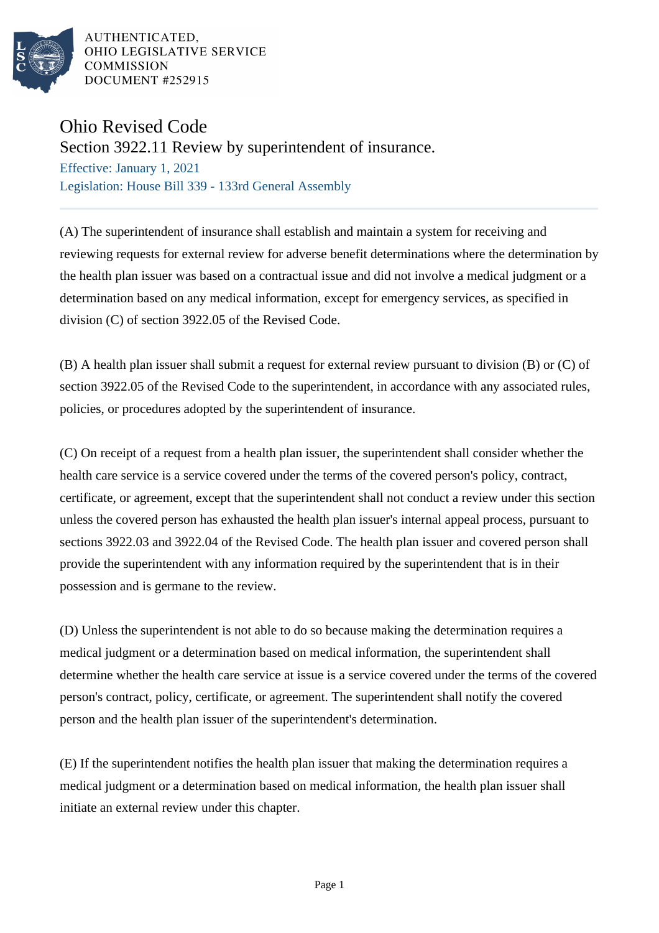

AUTHENTICATED. OHIO LEGISLATIVE SERVICE **COMMISSION** DOCUMENT #252915

## Ohio Revised Code

Section 3922.11 Review by superintendent of insurance.

Effective: January 1, 2021 Legislation: House Bill 339 - 133rd General Assembly

(A) The superintendent of insurance shall establish and maintain a system for receiving and reviewing requests for external review for adverse benefit determinations where the determination by the health plan issuer was based on a contractual issue and did not involve a medical judgment or a determination based on any medical information, except for emergency services, as specified in division (C) of section 3922.05 of the Revised Code.

(B) A health plan issuer shall submit a request for external review pursuant to division (B) or (C) of section 3922.05 of the Revised Code to the superintendent, in accordance with any associated rules, policies, or procedures adopted by the superintendent of insurance.

(C) On receipt of a request from a health plan issuer, the superintendent shall consider whether the health care service is a service covered under the terms of the covered person's policy, contract, certificate, or agreement, except that the superintendent shall not conduct a review under this section unless the covered person has exhausted the health plan issuer's internal appeal process, pursuant to sections 3922.03 and 3922.04 of the Revised Code. The health plan issuer and covered person shall provide the superintendent with any information required by the superintendent that is in their possession and is germane to the review.

(D) Unless the superintendent is not able to do so because making the determination requires a medical judgment or a determination based on medical information, the superintendent shall determine whether the health care service at issue is a service covered under the terms of the covered person's contract, policy, certificate, or agreement. The superintendent shall notify the covered person and the health plan issuer of the superintendent's determination.

(E) If the superintendent notifies the health plan issuer that making the determination requires a medical judgment or a determination based on medical information, the health plan issuer shall initiate an external review under this chapter.